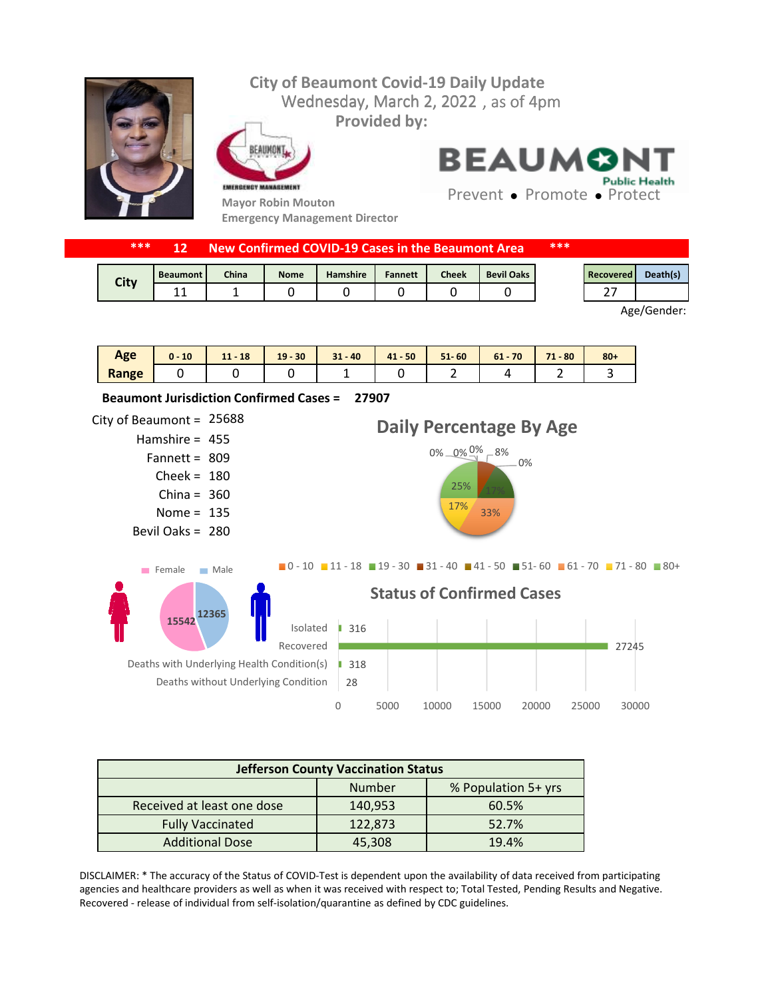## **City of Beaumont Covid-19 Daily Update** Wednesday, March 2, 2022, as of 4pm **Provided by:** FAIIMONT **BEAUMONT Public Health** EMERGENCY MANAGEMENT Prevent • Promote • Protect **Mayor Robin Mouton Emergency Management Director**

| ***<br>***<br>New Confirmed COVID-19 Cases in the Beaumont Area<br>12 |                 |       |             |                 |                |              |                   |  |           |             |
|-----------------------------------------------------------------------|-----------------|-------|-------------|-----------------|----------------|--------------|-------------------|--|-----------|-------------|
|                                                                       | <b>Beaumont</b> | China | <b>Nome</b> | <b>Hamshire</b> | <b>Fannett</b> | <b>Cheek</b> | <b>Bevil Oaks</b> |  | Recovered | Death(s)    |
| City                                                                  | 11              |       |             |                 |                |              |                   |  |           |             |
|                                                                       |                 |       |             |                 |                |              |                   |  |           | Age/Gender: |

| Age   | 10<br>$0 -$ | 18<br>A<br>. . | $-30$<br>19 | $31 - 40$ | $41 - 50$ | $51 - 60$ | 70<br>$61 -$ | 71<br>$-80$ | $80 +$ |
|-------|-------------|----------------|-------------|-----------|-----------|-----------|--------------|-------------|--------|
| Range |             |                |             | -         |           | -         |              | -           |        |



| <b>Jefferson County Vaccination Status</b> |         |       |  |  |
|--------------------------------------------|---------|-------|--|--|
| % Population 5+ yrs<br>Number              |         |       |  |  |
| Received at least one dose                 | 140,953 | 60.5% |  |  |
| <b>Fully Vaccinated</b>                    | 122,873 | 52.7% |  |  |
| <b>Additional Dose</b>                     | 45,308  | 19.4% |  |  |

DISCLAIMER: \* The accuracy of the Status of COVID-Test is dependent upon the availability of data received from participating agencies and healthcare providers as well as when it was received with respect to; Total Tested, Pending Results and Negative. Recovered - release of individual from self-isolation/quarantine as defined by CDC guidelines.